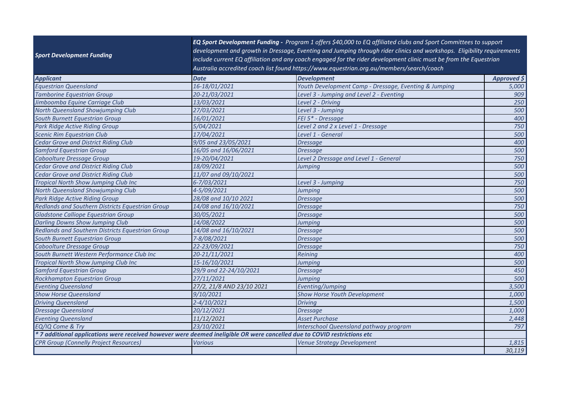| <b>Sport Development Funding</b>                                                                                         |                           | EQ Sport Development Funding - Program 1 offers \$40,000 to EQ affiliated clubs and Sport Committees to support<br>development and growth in Dressage, Eventing and Jumping through rider clinics and workshops. Eligibility requirements<br>include current EQ affiliation and any coach engaged for the rider development clinic must be from the Equestrian<br>Australia accredited coach list found https://www.equestrian.org.au/members/search/coach |                   |
|--------------------------------------------------------------------------------------------------------------------------|---------------------------|------------------------------------------------------------------------------------------------------------------------------------------------------------------------------------------------------------------------------------------------------------------------------------------------------------------------------------------------------------------------------------------------------------------------------------------------------------|-------------------|
| <b>Applicant</b>                                                                                                         | <b>Date</b>               | <b>Development</b>                                                                                                                                                                                                                                                                                                                                                                                                                                         | Approved $\sharp$ |
| Equestrian Queensland                                                                                                    | 16-18/01/2021             | Youth Development Camp - Dressage, Eventing & Jumping                                                                                                                                                                                                                                                                                                                                                                                                      | 5,000             |
| <b>Tamborine Equestrian Group</b>                                                                                        | 20-21/03/2021             | Level 3 - Jumping and Level 2 - Eventing                                                                                                                                                                                                                                                                                                                                                                                                                   | 909               |
| Jimboomba Equine Carriage Club                                                                                           | 13/03/2021                | Level 2 - Driving                                                                                                                                                                                                                                                                                                                                                                                                                                          | 250               |
| <b>North Queensland Showjumping Club</b>                                                                                 | 27/03/2021                | Level 3 - Jumping                                                                                                                                                                                                                                                                                                                                                                                                                                          | 500               |
| South Burnett Equestrian Group                                                                                           | 16/01/2021                | FEI 5* - Dressage                                                                                                                                                                                                                                                                                                                                                                                                                                          | 400               |
| Park Ridge Active Riding Group                                                                                           | 5/04/2021                 | Level 2 and 2 x Level 1 - Dressage                                                                                                                                                                                                                                                                                                                                                                                                                         | 750               |
| Scenic Rim Equestrian Club                                                                                               | 17/04/2021                | Level 1 - General                                                                                                                                                                                                                                                                                                                                                                                                                                          | 500               |
| <b>Cedar Grove and District Riding Club</b>                                                                              | 9/05 and 23/05/2021       | <b>Dressage</b>                                                                                                                                                                                                                                                                                                                                                                                                                                            | 400               |
| Samford Equestrian Group                                                                                                 | 16/05 and 16/06/2021      | <b>Dressage</b>                                                                                                                                                                                                                                                                                                                                                                                                                                            | 500               |
| Caboolture Dressage Group                                                                                                | 19-20/04/2021             | Level 2 Dressage and Level 1 - General                                                                                                                                                                                                                                                                                                                                                                                                                     | 750               |
| Cedar Grove and District Riding Club                                                                                     | 18/09/2021                | Jumping                                                                                                                                                                                                                                                                                                                                                                                                                                                    | 500               |
| Cedar Grove and District Riding Club                                                                                     | 11/07 and 09/10/2021      |                                                                                                                                                                                                                                                                                                                                                                                                                                                            | 500               |
| <b>Tropical North Show Jumping Club Inc</b>                                                                              | 6-7/03/2021               | Level 3 - Jumping                                                                                                                                                                                                                                                                                                                                                                                                                                          | 750               |
| <b>North Queensland Showjumping Club</b>                                                                                 | 4-5/09/2021               | Jumping                                                                                                                                                                                                                                                                                                                                                                                                                                                    | 500               |
| Park Ridge Active Riding Group                                                                                           | 28/08 and 10/10 2021      | <b>Dressage</b>                                                                                                                                                                                                                                                                                                                                                                                                                                            | 500               |
| <b>Redlands and Southern Districts Equestrian Group</b>                                                                  | 14/08 and 16/10/2021      | <b>Dressage</b>                                                                                                                                                                                                                                                                                                                                                                                                                                            | 750               |
| Gladstone Calliope Equestrian Group                                                                                      | 30/05/2021                | <b>Dressage</b>                                                                                                                                                                                                                                                                                                                                                                                                                                            | 500               |
| <b>Darling Downs Show Jumping Club</b>                                                                                   | 14/08/2022                | Jumping                                                                                                                                                                                                                                                                                                                                                                                                                                                    | 500               |
| Redlands and Southern Districts Equestrian Group                                                                         | 14/08 and 16/10/2021      | <b>Dressage</b>                                                                                                                                                                                                                                                                                                                                                                                                                                            | 500               |
| South Burnett Equestrian Group                                                                                           | 7-8/08/2021               | <b>Dressage</b>                                                                                                                                                                                                                                                                                                                                                                                                                                            | 500               |
| Caboolture Dressage Group                                                                                                | 22-23/09/2021             | <b>Dressage</b>                                                                                                                                                                                                                                                                                                                                                                                                                                            | 750               |
| South Burnett Western Performance Club Inc                                                                               | 20-21/11/2021             | Reining                                                                                                                                                                                                                                                                                                                                                                                                                                                    | 400               |
| <b>Tropical North Show Jumping Club Inc</b>                                                                              | 15-16/10/2021             | Jumping                                                                                                                                                                                                                                                                                                                                                                                                                                                    | 500               |
| Samford Equestrian Group                                                                                                 | 29/9 and 22-24/10/2021    | <b>Dressage</b>                                                                                                                                                                                                                                                                                                                                                                                                                                            | 450               |
| Rockhampton Equestrian Group                                                                                             | 27/11/2021                | <b>Jumping</b>                                                                                                                                                                                                                                                                                                                                                                                                                                             | 500               |
| <b>Eventing Queensland</b>                                                                                               | 27/2, 21/8 AND 23/10 2021 | Eventing/Jumping                                                                                                                                                                                                                                                                                                                                                                                                                                           | 3,500             |
| <b>Show Horse Queensland</b>                                                                                             | 9/10/2021                 | <b>Show Horse Youth Development</b>                                                                                                                                                                                                                                                                                                                                                                                                                        | 1,000             |
| <b>Driving Queensland</b>                                                                                                | 2-4/10/2021               | <b>Driving</b>                                                                                                                                                                                                                                                                                                                                                                                                                                             | 1,500             |
| <b>Dressage Queensland</b>                                                                                               | 20/12/2021                | <b>Dressage</b>                                                                                                                                                                                                                                                                                                                                                                                                                                            | 1,000             |
| <b>Eventing Queensland</b>                                                                                               | 11/12/2021                | <b>Asset Purchase</b>                                                                                                                                                                                                                                                                                                                                                                                                                                      | 2,448             |
| EQ/IQ Come & Try                                                                                                         | 23/10/2021                | <b>Interschool Queensland pathway program</b>                                                                                                                                                                                                                                                                                                                                                                                                              | 797               |
| * 7 additional applications were received however were deemed ineligible OR were cancelled due to COVID restrictions etc |                           |                                                                                                                                                                                                                                                                                                                                                                                                                                                            |                   |
| CPR Group (Connelly Project Resources)                                                                                   | <b>Various</b>            | <b>Venue Strategy Development</b>                                                                                                                                                                                                                                                                                                                                                                                                                          | 1,815             |
|                                                                                                                          |                           |                                                                                                                                                                                                                                                                                                                                                                                                                                                            | 30,119            |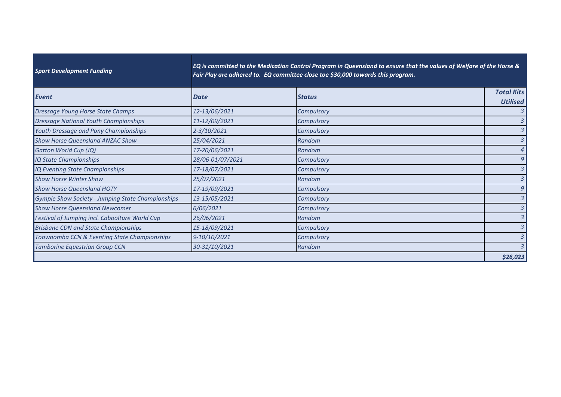| <b>Sport Development Funding</b>                  | EQ is committed to the Medication Control Program in Queensland to ensure that the values of Welfare of the Horse &<br>Fair Play are adhered to. EQ committee close toe \$30,000 towards this program. |               |                                      |
|---------------------------------------------------|--------------------------------------------------------------------------------------------------------------------------------------------------------------------------------------------------------|---------------|--------------------------------------|
| Event                                             | <b>Date</b>                                                                                                                                                                                            | <b>Status</b> | <b>Total Kits</b><br><b>Utilised</b> |
| Dressage Young Horse State Champs                 | 12-13/06/2021                                                                                                                                                                                          | Compulsory    | 3                                    |
| <b>Dressage National Youth Championships</b>      | 11-12/09/2021                                                                                                                                                                                          | Compulsory    | 3                                    |
| Youth Dressage and Pony Championships             | $2 - 3/10/2021$                                                                                                                                                                                        | Compulsory    | $\overline{3}$                       |
| <b>Show Horse Queensland ANZAC Show</b>           | 25/04/2021                                                                                                                                                                                             | Random        | $\overline{3}$                       |
| Gatton World Cup (JQ)                             | 17-20/06/2021                                                                                                                                                                                          | Random        | 4                                    |
| IQ State Championships                            | 28/06-01/07/2021                                                                                                                                                                                       | Compulsory    | 9                                    |
| IQ Eventing State Championships                   | 17-18/07/2021                                                                                                                                                                                          | Compulsory    | 3                                    |
| <b>Show Horse Winter Show</b>                     | 25/07/2021                                                                                                                                                                                             | Random        | 3                                    |
| <b>Show Horse Queensland HOTY</b>                 | 17-19/09/2021                                                                                                                                                                                          | Compulsory    | 9                                    |
| Gympie Show Society - Jumping State Championships | 13-15/05/2021                                                                                                                                                                                          | Compulsory    | 3                                    |
| <b>Show Horse Queensland Newcomer</b>             | 6/06/2021                                                                                                                                                                                              | Compulsory    | 3                                    |
| Festival of Jumping incl. Caboolture World Cup    | 26/06/2021                                                                                                                                                                                             | Random        | 3                                    |
| <b>Brisbane CDN and State Championships</b>       | 15-18/09/2021                                                                                                                                                                                          | Compulsory    | $\overline{3}$                       |
| Toowoomba CCN & Eventing State Championships      | 9-10/10/2021                                                                                                                                                                                           | Compulsory    | $\mathfrak{Z}$                       |
| <b>Tamborine Equestrian Group CCN</b>             | 30-31/10/2021                                                                                                                                                                                          | Random        | 3                                    |
|                                                   |                                                                                                                                                                                                        |               | \$26,023                             |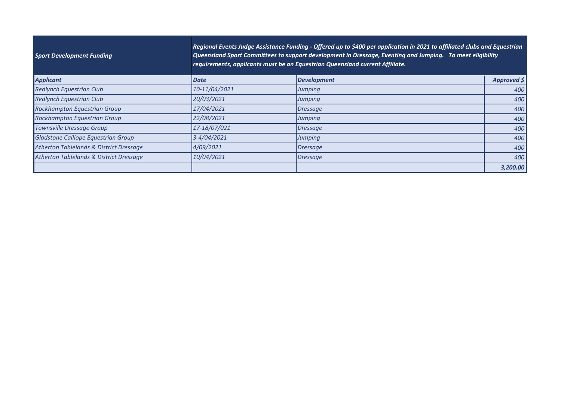| <b>Sport Development Funding</b>        | Regional Events Judge Assistance Funding - Offered up to \$400 per application in 2021 to affiliated clubs and Equestrian<br>Queensland Sport Committees to support development in Dressage, Eventing and Jumping. To meet eligibility<br>requirements, applicants must be an Equestrian Queensland current Affiliate. |                    |             |
|-----------------------------------------|------------------------------------------------------------------------------------------------------------------------------------------------------------------------------------------------------------------------------------------------------------------------------------------------------------------------|--------------------|-------------|
| Applicant                               | Date                                                                                                                                                                                                                                                                                                                   | <b>Development</b> | Approved \$ |
| <b>Redlynch Equestrian Club</b>         | 10-11/04/2021                                                                                                                                                                                                                                                                                                          | Jumping            | 400         |
| <b>Redlynch Equestrian Club</b>         | 20/03/2021                                                                                                                                                                                                                                                                                                             | Jumping            | 400         |
| <b>Rockhampton Equestrian Group</b>     | 17/04/2021                                                                                                                                                                                                                                                                                                             | Dressage           | 400         |
| <b>Rockhampton Equestrian Group</b>     | 22/08/2021                                                                                                                                                                                                                                                                                                             | Jumping            | 400         |
| Townsville Dressage Group               | 17-18/07/021                                                                                                                                                                                                                                                                                                           | Dressage           | 400         |
| Gladstone Calliope Equestrian Group     | 3-4/04/2021                                                                                                                                                                                                                                                                                                            | Jumping            | 400         |
| Atherton Tablelands & District Dressage | 4/09/2021                                                                                                                                                                                                                                                                                                              | Dressage           | 400         |
| Atherton Tablelands & District Dressage | 10/04/2021                                                                                                                                                                                                                                                                                                             | Dressage           | 400         |
|                                         |                                                                                                                                                                                                                                                                                                                        |                    | 3,200.00    |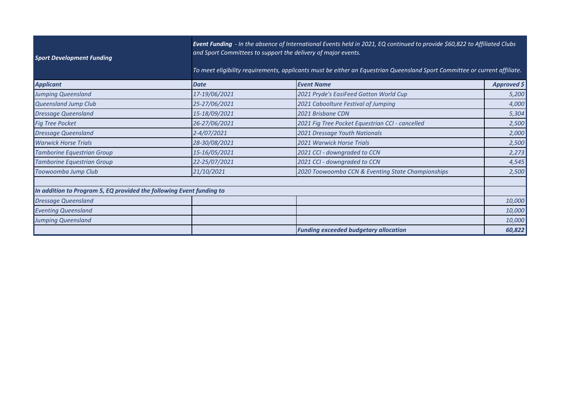| <b>Sport Development Funding</b>                                     |               | Event Funding - In the absence of International Events held in 2021, EQ continued to provide \$60,822 to Affiliated Clubs<br>and Sport Committees to support the delivery of major events.<br>To meet eligibility requirements, applicants must be either an Equestrian Queensland Sport Committee or current affiliate. |                   |  |
|----------------------------------------------------------------------|---------------|--------------------------------------------------------------------------------------------------------------------------------------------------------------------------------------------------------------------------------------------------------------------------------------------------------------------------|-------------------|--|
| <b>Applicant</b>                                                     | <b>Date</b>   | <b>Event Name</b>                                                                                                                                                                                                                                                                                                        | Approved $\sharp$ |  |
| Jumping Queensland                                                   | 17-19/06/2021 | 2021 Pryde's EasiFeed Gatton World Cup                                                                                                                                                                                                                                                                                   | 5,200             |  |
| Queensland Jump Club                                                 | 25-27/06/2021 | 2021 Caboolture Festival of Jumping                                                                                                                                                                                                                                                                                      | 4,000             |  |
| <b>Dressage Queensland</b>                                           | 15-18/09/2021 | 2021 Brisbane CDN                                                                                                                                                                                                                                                                                                        | 5,304             |  |
| <b>Fig Tree Pocket</b>                                               | 26-27/06/2021 | 2021 Fig Tree Pocket Equestrian CCI - cancelled                                                                                                                                                                                                                                                                          | 2,500             |  |
| <b>Dressage Queensland</b>                                           | 2-4/07/2021   | 2021 Dressage Youth Nationals                                                                                                                                                                                                                                                                                            | 2,000             |  |
| <b>Warwick Horse Trials</b>                                          | 28-30/08/2021 | <b>2021 Warwick Horse Trials</b>                                                                                                                                                                                                                                                                                         | 2,500             |  |
| <b>Tamborine Equestrian Group</b>                                    | 15-16/05/2021 | 2021 CCI - downgraded to CCN                                                                                                                                                                                                                                                                                             | 2,273             |  |
| <b>Tamborine Equestrian Group</b>                                    | 22-25/07/2021 | 2021 CCI - downgraded to CCN                                                                                                                                                                                                                                                                                             | 4,545             |  |
| Toowoomba Jump Club                                                  | 21/10/2021    | 2020 Toowoomba CCN & Eventing State Championships                                                                                                                                                                                                                                                                        | 2,500             |  |
| In addition to Program 5, EQ provided the following Event funding to |               |                                                                                                                                                                                                                                                                                                                          |                   |  |
| <b>Dressage Queensland</b>                                           |               |                                                                                                                                                                                                                                                                                                                          | 10,000            |  |
| <b>Eventing Queensland</b>                                           |               |                                                                                                                                                                                                                                                                                                                          | 10,000            |  |
| Jumping Queensland                                                   |               |                                                                                                                                                                                                                                                                                                                          | 10,000            |  |
|                                                                      |               | <b>Funding exceeded budgetary allocation</b>                                                                                                                                                                                                                                                                             | 60,822            |  |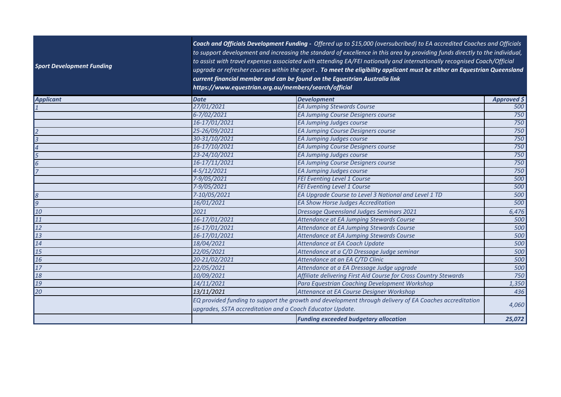| <b>Sport Development Funding</b> |               | Coach and Officials Development Funding - Offered up to \$15,000 (oversubcribed) to EA accredited Coaches and Officials<br>to support development and increasing the standard of excellence in this area by providing funds directly to the individual,<br>to assist with travel expenses associated with attending EA/FEI nationally and internationally recognised Coach/Official<br>upgrade or refresher courses within the sport. To meet the eligibility applicant must be either an Equestrian Queensland<br>current financial member and can be found on the Equestrian Australia link<br>https://www.equestrian.org.au/members/search/official |             |  |  |
|----------------------------------|---------------|--------------------------------------------------------------------------------------------------------------------------------------------------------------------------------------------------------------------------------------------------------------------------------------------------------------------------------------------------------------------------------------------------------------------------------------------------------------------------------------------------------------------------------------------------------------------------------------------------------------------------------------------------------|-------------|--|--|
| Applicant                        | <b>Date</b>   | <b>Development</b>                                                                                                                                                                                                                                                                                                                                                                                                                                                                                                                                                                                                                                     | Approved \$ |  |  |
|                                  | 27/01/2021    | <b>EA Jumping Stewards Course</b>                                                                                                                                                                                                                                                                                                                                                                                                                                                                                                                                                                                                                      | 500         |  |  |
|                                  | 6-7/02/2021   | EA Jumping Course Designers course                                                                                                                                                                                                                                                                                                                                                                                                                                                                                                                                                                                                                     | 750         |  |  |
|                                  | 16-17/01/2021 | EA Jumping Judges course                                                                                                                                                                                                                                                                                                                                                                                                                                                                                                                                                                                                                               | 750         |  |  |
|                                  | 25-26/09/2021 | EA Jumping Course Designers course                                                                                                                                                                                                                                                                                                                                                                                                                                                                                                                                                                                                                     | 750         |  |  |
|                                  | 30-31/10/2021 | EA Jumping Judges course                                                                                                                                                                                                                                                                                                                                                                                                                                                                                                                                                                                                                               | 750         |  |  |
|                                  | 16-17/10/2021 | EA Jumping Course Designers course                                                                                                                                                                                                                                                                                                                                                                                                                                                                                                                                                                                                                     | 750         |  |  |
|                                  | 23-24/10/2021 | <b>EA Jumping Judges course</b>                                                                                                                                                                                                                                                                                                                                                                                                                                                                                                                                                                                                                        | 750         |  |  |
|                                  | 16-17/11/2021 | EA Jumping Course Designers course                                                                                                                                                                                                                                                                                                                                                                                                                                                                                                                                                                                                                     | 750         |  |  |
|                                  | 4-5/12/2021   | EA Jumping Judges course                                                                                                                                                                                                                                                                                                                                                                                                                                                                                                                                                                                                                               | 750         |  |  |
|                                  | 7-9/05/2021   | FEI Eventing Level 1 Course                                                                                                                                                                                                                                                                                                                                                                                                                                                                                                                                                                                                                            | 500         |  |  |
|                                  | 7-9/05/2021   | <b>FEI Eventing Level 1 Course</b>                                                                                                                                                                                                                                                                                                                                                                                                                                                                                                                                                                                                                     | 500         |  |  |
| $\vert$ 8                        | 7-10/05/2021  | EA Upgrade Course to Level 3 National and Level 1 TD                                                                                                                                                                                                                                                                                                                                                                                                                                                                                                                                                                                                   | 500         |  |  |
| $\overline{g}$                   | 16/01/2021    | EA Show Horse Judges Accreditation                                                                                                                                                                                                                                                                                                                                                                                                                                                                                                                                                                                                                     | 500         |  |  |
| $\overline{\mathbf{10}}$         | 2021          | <b>Dressage Queensland Judges Seminars 2021</b>                                                                                                                                                                                                                                                                                                                                                                                                                                                                                                                                                                                                        | 6,476       |  |  |
| $\vert$ 11                       | 16-17/01/2021 | Attendance at EA Jumping Stewards Course                                                                                                                                                                                                                                                                                                                                                                                                                                                                                                                                                                                                               | 500         |  |  |
| $\overline{12}$                  | 16-17/01/2021 | Attendance at EA Jumping Stewards Course                                                                                                                                                                                                                                                                                                                                                                                                                                                                                                                                                                                                               | 500         |  |  |
| $\vert$ 13                       | 16-17/01/2021 | Attendance at EA Jumping Stewards Course                                                                                                                                                                                                                                                                                                                                                                                                                                                                                                                                                                                                               | 500         |  |  |
| $\sqrt{14}$                      | 18/04/2021    | Attendance at EA Coach Update                                                                                                                                                                                                                                                                                                                                                                                                                                                                                                                                                                                                                          | 500         |  |  |
| 15                               | 22/05/2021    | Attendance at a C/D Dressage Judge seminar                                                                                                                                                                                                                                                                                                                                                                                                                                                                                                                                                                                                             | 500         |  |  |
| 16                               | 20-21/02/2021 | Attendance at an EA C/TD Clinic                                                                                                                                                                                                                                                                                                                                                                                                                                                                                                                                                                                                                        | 500         |  |  |
| 17                               | 22/05/2021    | Attendance at a EA Dressage Judge upgrade                                                                                                                                                                                                                                                                                                                                                                                                                                                                                                                                                                                                              | 500         |  |  |
| 18                               | 10/09/2021    | Affiliate delivering First Aid Course for Cross Country Stewards                                                                                                                                                                                                                                                                                                                                                                                                                                                                                                                                                                                       | 750         |  |  |
| 19                               | 14/11/2021    | Para Equestrian Coaching Development Workshop                                                                                                                                                                                                                                                                                                                                                                                                                                                                                                                                                                                                          | 1,350       |  |  |
| 20                               | 13/11/2021    | Attenance at EA Course Designer Workshop                                                                                                                                                                                                                                                                                                                                                                                                                                                                                                                                                                                                               | 436         |  |  |
|                                  |               | EQ provided funding to support the growth and development through delivery of EA Coaches accreditation<br>upgrades, SSTA accreditation and a Coach Educator Update.                                                                                                                                                                                                                                                                                                                                                                                                                                                                                    |             |  |  |
|                                  |               | <b>Funding exceeded budgetary allocation</b>                                                                                                                                                                                                                                                                                                                                                                                                                                                                                                                                                                                                           | 25,072      |  |  |